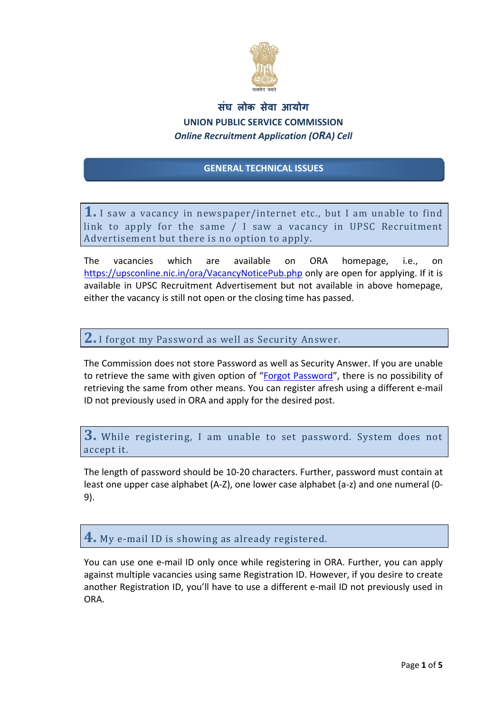

## **सघ लोक स ं ेवा आयोग UNION PUBLIC SERVICE COMMISSION** *Online Recruitment Application (ORA) Cell*

#### **GENERAL TECHNICAL ISSUES**

**1.** I saw a vacancy in newspaper/internet etc., but I am unable to find link to apply for the same  $/$  I saw a vacancy in UPSC Recruitment Advertisement but there is no option to apply.

The vacancies which are available on ORA homepage, i.e., on https://upsconline.nic.in/ora/VacancyNoticePub.php only are open for applying. If it is available in UPSC Recruitment Advertisement but not available in above homepage, either the vacancy is still not open or the closing time has passed.

**2.** I forgot my Password as well as Security Answer.

The Commission does not store Password as well as Security Answer. If you are unable to retrieve the same with given option of "Forgot [Password](https://upsconline.nic.in/ora/oraauth/candidate/forgot_registration.php)", there is no possibility of retrieving the same from other means. You can register afresh using a different e‐mail ID not previously used in ORA and apply for the desired post.

**3.** While registering, I am unable to set password. System does not accept it.

The length of password should be 10‐20 characters. Further, password must contain at least one upper case alphabet (A‐Z), one lower case alphabet (a‐z) and one numeral (0‐ 9).

**4.** My e-mail ID is showing as already registered.

You can use one e-mail ID only once while registering in ORA. Further, you can apply against multiple vacancies using same Registration ID. However, if you desire to create another Registration ID, you'll have to use a different e-mail ID not previously used in ORA.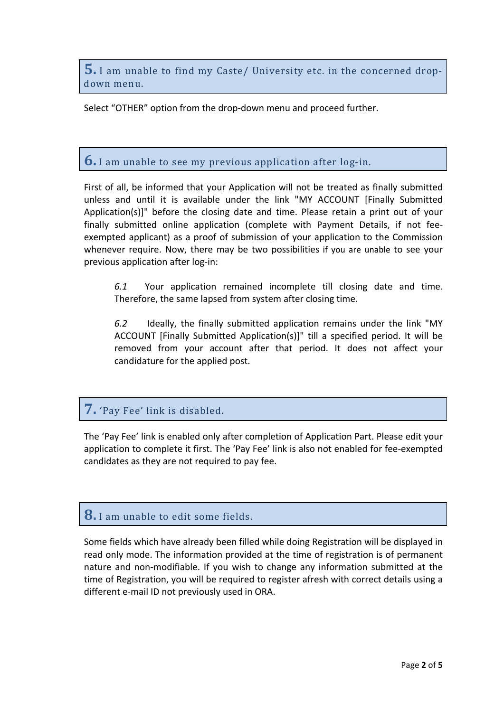**5.** I am unable to find my Caste/ University etc. in the concerned dropdown menu. 

Select "OTHER" option from the drop-down menu and proceed further.

#### **6.** I am unable to see my previous application after log-in.

First of all, be informed that your Application will not be treated as finally submitted unless and until it is available under the link "MY ACCOUNT [Finally Submitted Application(s)]" before the closing date and time. Please retain a print out of your finally submitted online application (complete with Payment Details, if not fee‐ exempted applicant) as a proof of submission of your application to the Commission whenever require. Now, there may be two possibilities if you are unable to see your previous application after log-in:

*6.1* Your application remained incomplete till closing date and time. Therefore, the same lapsed from system after closing time.

*6.2* Ideally, the finally submitted application remains under the link "MY ACCOUNT [Finally Submitted Application(s)]" till a specified period. It will be removed from your account after that period. It does not affect your candidature for the applied post.

### **7.** 'Pay Fee' link is disabled.

The 'Pay Fee' link is enabled only after completion of Application Part. Please edit your application to complete it first. The 'Pay Fee' link is also not enabled for fee‐exempted candidates as they are not required to pay fee.

### **8.** I am unable to edit some fields.

Some fields which have already been filled while doing Registration will be displayed in read only mode. The information provided at the time of registration is of permanent nature and non‐modifiable. If you wish to change any information submitted at the time of Registration, you will be required to register afresh with correct details using a different e‐mail ID not previously used in ORA.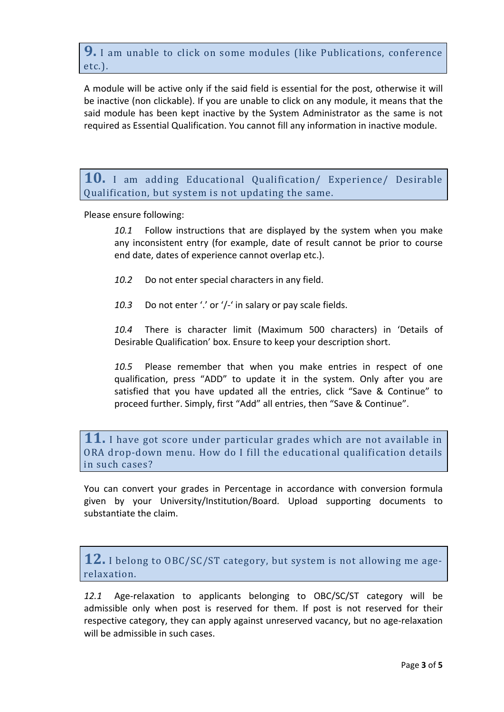**9.** I am unable to click on some modules (like Publications, conference etc.). 

A module will be active only if the said field is essential for the post, otherwise it will be inactive (non clickable). If you are unable to click on any module, it means that the said module has been kept inactive by the System Administrator as the same is not required as Essential Qualification. You cannot fill any information in inactive module.

**10.** I am adding Educational Qualification/ Experience/ Desirable Qualification, but system is not updating the same.

Please ensure following:

*10.1* Follow instructions that are displayed by the system when you make any inconsistent entry (for example, date of result cannot be prior to course end date, dates of experience cannot overlap etc.).

*10.2* Do not enter special characters in any field.

10.3 Do not enter '.' or '/-' in salary or pay scale fields.

*10.4* There is character limit (Maximum 500 characters) in 'Details of Desirable Qualification' box. Ensure to keep your description short.

*10.5* Please remember that when you make entries in respect of one qualification, press "ADD" to update it in the system. Only after you are satisfied that you have updated all the entries, click "Save & Continue" to proceed further. Simply, first "Add" all entries, then "Save & Continue".

**11.** I have got score under particular grades which are not available in ORA drop-down menu. How do I fill the educational qualification details in such cases?

You can convert your grades in Percentage in accordance with conversion formula given by your University/Institution/Board. Upload supporting documents to substantiate the claim.

**12.** I belong to OBC/SC/ST category, but system is not allowing me agerelaxation.

12.1 Age-relaxation to applicants belonging to OBC/SC/ST category will be admissible only when post is reserved for them. If post is not reserved for their respective category, they can apply against unreserved vacancy, but no age-relaxation will be admissible in such cases.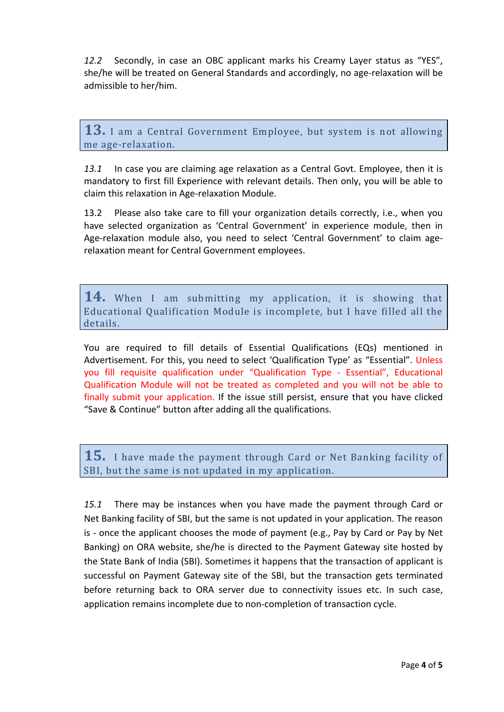*12.2* Secondly, in case an OBC applicant marks his Creamy Layer status as "YES", she/he will be treated on General Standards and accordingly, no age-relaxation will be admissible to her/him.

**13.** I am a Central Government Employee, but system is not allowing me age-relaxation.

*13.1* In case you are claiming age relaxation as a Central Govt. Employee, then it is mandatory to first fill Experience with relevant details. Then only, you will be able to claim this relaxation in Age‐relaxation Module.

13.2 Please also take care to fill your organization details correctly, i.e., when you have selected organization as 'Central Government' in experience module, then in Age‐relaxation module also, you need to select 'Central Government' to claim age‐ relaxation meant for Central Government employees.

**14.** When I am submitting my application, it is showing that Educational Qualification Module is incomplete, but I have filled all the details.

You are required to fill details of Essential Qualifications (EQs) mentioned in Advertisement. For this, you need to select 'Qualification Type' as "Essential". Unless you fill requisite qualification under "Qualification Type ‐ Essential", Educational Qualification Module will not be treated as completed and you will not be able to finally submit your application. If the issue still persist, ensure that you have clicked "Save & Continue" button after adding all the qualifications.

**15.** I have made the payment through Card or Net Banking facility of SBI, but the same is not updated in my application.

*15.1* There may be instances when you have made the payment through Card or Net Banking facility of SBI, but the same is not updated in your application. The reason is - once the applicant chooses the mode of payment (e.g., Pay by Card or Pay by Net Banking) on ORA website, she/he is directed to the Payment Gateway site hosted by the State Bank of India (SBI). Sometimes it happens that the transaction of applicant is successful on Payment Gateway site of the SBI, but the transaction gets terminated before returning back to ORA server due to connectivity issues etc. In such case, application remains incomplete due to non‐completion of transaction cycle.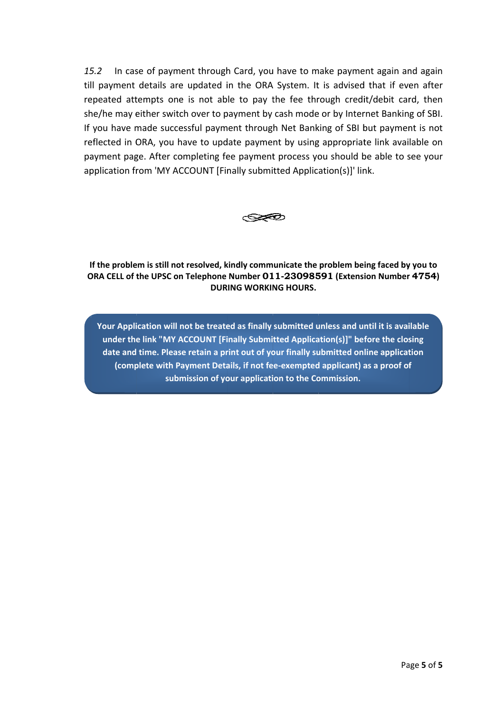In case of payment through Card, you have to make payment again and again  $15.2$ till payment details are updated in the ORA System. It is advised that if even after repeated attempts one is not able to pay the fee through credit/debit card, then she/he may either switch over to payment by cash mode or by Internet Banking of SBI. If you have made successful payment through Net Banking of SBI but payment is not reflected in ORA, you have to update payment by using appropriate link available on payment page. After completing fee payment process you should be able to see your application from 'MY ACCOUNT [Finally submitted Application(s)]' link.



If the problem is still not resolved, kindly communicate the problem being faced by you to ORA CELL of the UPSC on Telephone Number 011-23098591 (Extension Number 4754) **DURING WORKING HOURS.** 

Your Application will not be treated as finally submitted unless and until it is available under the link "MY ACCOUNT [Finally Submitted Application(s)]" before the closing date and time. Please retain a print out of your finally submitted online application (complete with Payment Details, if not fee-exempted applicant) as a proof of submission of your application to the Commission.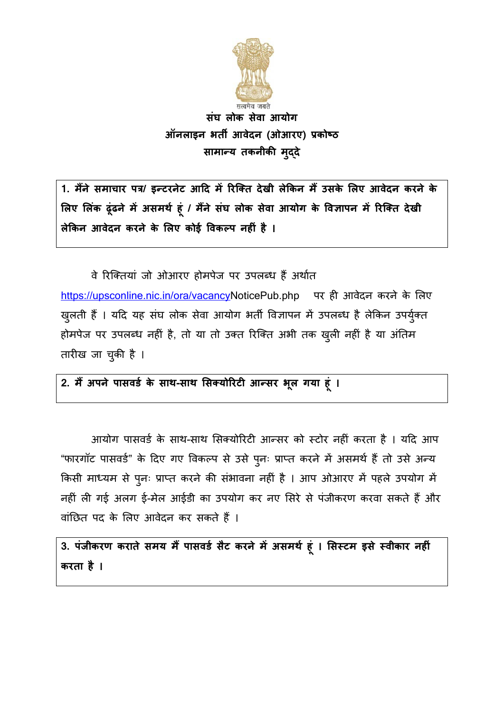

संघ लोक सेवा आयोग ऑनलाइन भर्ती आवेदन (ओआरए) प्रकोष्ठ सामान्य तकनीकी मृददे

1. मैंने समाचार पत्र/ इन्टरनेट आदि में रिक्ति देखी लेकिन मैं उसके लिए आवेदन करने के लिए लिंक ढूंढने में असमर्थ हूं / मैंने संघ लोक सेवा आयोग के विज्ञापन में रिक्ति देखी लेकिन आवेदन करने के लिए कोई विकल्प नहीं है ।

वे रिक्तियां जो ओआरए होमपेज पर उपलब्ध हैं अर्थात https://upsconline.nic.in/ora/vacancyNoticePub.php पर ही आवेदन करने के लिए खुलती हैं । यदि यह संघ लोक सेवा आयोग भर्ती विज्ञापन में उपलब्ध है लेकिन उपर्युक्त होमपेज पर उपलब्ध नहीं है, तो या तो उक्त रिक्ति अभी तक ख़ुली नहीं है या अंतिम तारीख जा चुकी है ।

### 2. मैं अपने पासवर्ड के साथ-साथ सिक्योरिटी आन्सर भूल गया हूं ।

आयोग पासवर्ड के साथ-साथ सिक्योरिटी आन्सर को स्टोर नहीं करता है । यदि आप "फारगॉट पासवर्ड" के दिए गए विकल्प से उसे पूनः प्राप्त करने में असमर्थ हैं तो उसे अन्य किसी माध्यम से पुनः प्राप्त करने की संभावना नहीं है । आप ओआरए में पहले उपयोग में नहीं ली गई अलग ई-मेल आईडी का उपयोग कर नए सिरे से पंजीकरण करवा सकते हैं और वांछित पद के लिए आवेदन कर सकते हैं ।

3. पंजीकरण कराते समय मैं पासवर्ड सैट करने में असमर्थ हूं । सिस्टम इसे स्वीकार नहीं करता है ।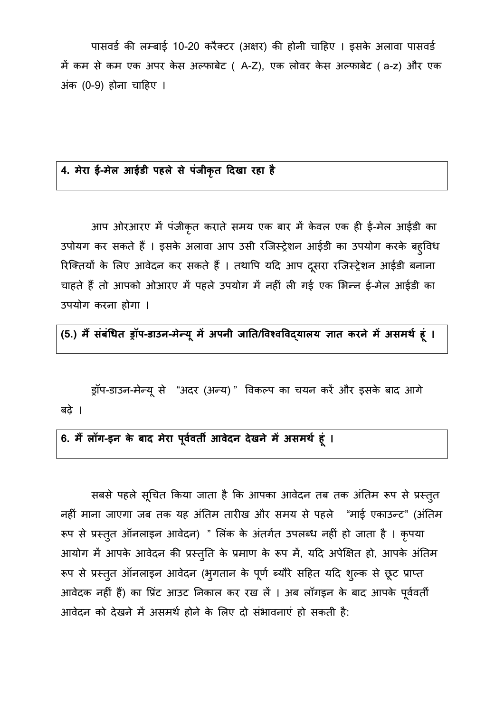पासवर्ड की लम्बाई 10-20 करैक्टर (अक्षर) की होनी चाहिए । इसके अलावा पासवर्ड में कम से कम एक अपर केस अल्फाबेट ( A-Z), एक लोवर केस अल्फाबेट ( a-z) और एक अंक (0-9) होना चाहिए ।

#### 4. मेरा ई-मेल आईडी पहले से पंजीकृत दिखा रहा है

आप ओरआरए में पंजीकृत कराते समय एक बार में केवल एक ही ई-मेल आईडी का उपोयग कर सकते हैं । इसके अलावा आप उसी रजिस्ट्रेशन आईडी का उपयोग करके बहुविध रिक्तियों के लिए आवेदन कर सकते हैं । तथापि यदि आप दूसरा रजिस्ट्रेशन आईडी बनाना चाहते हैं तो आपको ओआरए में पहले उपयोग में नहीं ली गई एक भिन्न ई-मेल आईडी का उपयोग करना होगा ।

(5.) मैं संबंधित ड्रॉप-डाउन-मेन्यू में अपनी जाति/विश्वविद्यालय ज्ञात करने में असमर्थ हूं ।

ड्रॉप-डाउन-मेन्यू से "अदर (अन्य)" विकल्प का चयन करें और इसके बाद आगे बढे $\vert$ ।

6. मैं लॉग-इन के बाद मेरा पूर्ववर्ती आवेदन देखने में असमर्थ हूं ।

सबसे पहले सूचित किया जाता है कि आपका आवेदन तब तक अंतिम रूप से प्रस्तुत नहीं माना जाएगा जब तक यह अंतिम तारीख और समय से पहले "माई एकाउन्ट" (अंतिम रूप से प्रस्तूत ऑनलाइन आवेदन) " लिंक के अंतर्गत उपलब्ध नहीं हो जाता है । कृपया आयोग में आपके आवेदन की प्रस्तुति के प्रमाण के रूप में, यदि अपेक्षित हो, आपके अंतिम रूप से प्रस्तुत ऑनलाइन आवेदन (भुगतान के पूर्ण ब्यौरे सहित यदि शुल्क से छूट प्राप्त आवेदक नहीं हैं) का प्रिंट आउट निकाल कर रख लें । अब लॉगइन के बाद आपके पूर्ववर्ती आवेदन को देखने में असमर्थ होने के लिए दो संभावनाएं हो सकती है: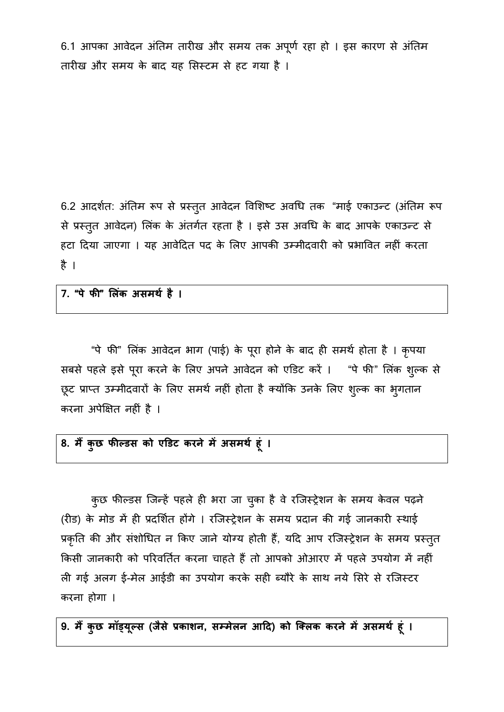6.1 आपका आवेदन अंतिम तारीख और समय तक अपूर्ण रहा हो । इस कारण से अंतिम तारीख और समय के बाद यह सिस्टम से हट गया है ।

6.2 आदर्शत: अंतिम रूप से प्रस्तुत आवेदन विशिष्ट अवधि तक "माई एकाउन्ट (अंतिम रूप से प्रस्तुत आवेदन) लिंक के अंतर्गत रहता है । इसे उस अवधि के बाद आपके एकाउन्ट से हटा दिया जाएगा । यह आवेदित पद के लिए आपकी उम्मीदवारी को प्रभावित नहीं करता है ।

7. "पे फी" लिंक असमर्थ है ।

"पे फी" लिंक आवेदन भाग (पाई) के पूरा होने के बाद ही समर्थ होता है । कृपया सबसे पहले इसे पूरा करने के लिए अपने आवेदन को एडिट करें । "पे फी" लिंक शुल्क से छूट प्राप्त उम्मीदवारों के लिए समर्थ नहीं होता है क्योंकि उनके लिए शुल्क का भुगतान करना अपेक्षित नहीं है ।

# 8. मैं कुछ फील्डस को एडिट करने में असमर्थ हूं ।

कुछ फील्डस जिन्हें पहले ही भरा जा चुका है वे रजिस्ट्रेशन के समय केवल पढ़ने (रीड) के मोड में ही प्रदर्शित होंगे । रजिस्ट्रेशन के समय प्रदान की गई जानकारी स्थाई प्रकृति की और संशोधित न किए जाने योग्य होती हैं, यदि आप रजिस्ट्रेशन के समय प्रस्तुत किसी जानकारी को परिवर्तित करना चाहते हैं तो आपको ओआरए में पहले उपयोग में नहीं ली गई अलग ई-मेल आईडी का उपयोग करके सही ब्यौरे के साथ नये सिरे से रजिस्टर करना होगा ।

9. मैं कुछ मॉड्यूल्स (जैसे प्रकाशन, सम्मेलन आदि) को क्लिक करने में असमर्थ हूं ।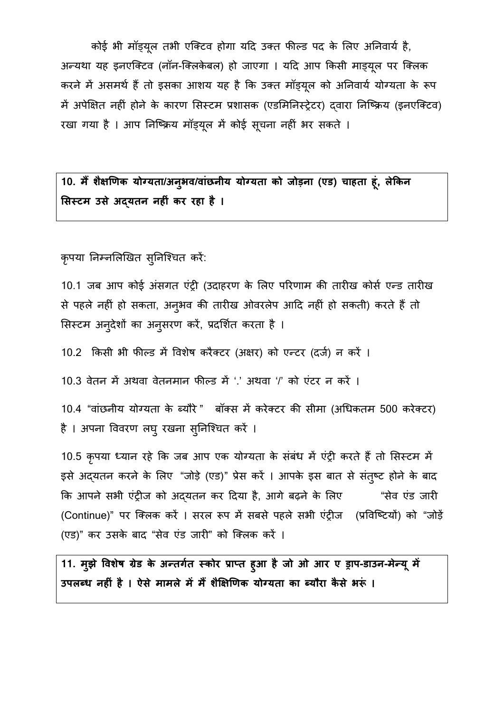कोई भी मॉड़यूल तभी एक्टिव होगा यदि उक्त फील्ड पद के लिए अनिवार्य है, अन्यथा यह इनएक्टिव (नॉन-क्लिकेबल) हो जाएगा । यदि आप किसी माड़यूल पर क्लिक करने में असमर्थ हैं तो इसका आशय यह है कि उक्त मॉड्यूल को अनिवार्य योग्यता के रूप में अपेक्षित नहीं होने के कारण सिस्टम प्रशासक (एडमिनिस्ट्रेटर) दवारा निष्क्रिय (इनएक्टिव) रखा गया है । आप निष्क्रिय मॉड्यूल में कोई सूचना नहीं भर सकते ।

# 10. मैं शैक्षणिक योग्यता/अन्अव/वांछनीय योग्यता को जोड़ना (एड) चाहता हूं, लेकिन सिस्टम उसे अदयतन नहीं कर रहा है ।

कृपया निम्नलिखित सुनिश्चित करें:

10.1 जब आप कोई अंसगत एंट्री (उदाहरण के लिए परिणाम की तारीख कोर्स एन्ड तारीख से पहले नहीं हो सकता, अन्3भव की तारीख ओवरलेप आदि नहीं हो सकती) करते हैं तो सिस्टम अनुदेशों का अनुसरण करें, प्रदर्शित करता है ।

10.2 किसी भी फील्ड में विशेष करैक्टर (अक्षर) को एन्टर (दर्ज) न करें ।

10.3 वेतन में अथवा वेतनमान फील्ड में '.' अथवा '/' को एंटर न करें ।

10.4 "वांछनीय योग्यता के ब्यौरे" बॉक्स में करेक्टर की सीमा (अधिकतम 500 करेक्टर) है । अपना विवरण लघ् रखना सुनिश्चित करें ।

10.5 कृपया ध्यान रहे कि जब आप एक योग्यता के संबंध में एंट्री करते हैं तो सिस्टम में इसे अदयतन करने के लिए "जोड़े (एड)" प्रेस करें । आपके इस बात से संतुष्ट होने के बाद कि आपने सभी एंट्रीज को अदयतन कर दिया है, आगे बढ़ने के लिए "सेव एंड जारी (Continue)" पर क्लिक करें । सरल रूप में सबसे पहले सभी एंट्रीज (प्रविष्टियों) को "जोड़ें (एड)" कर उसके बाद "सेव एंड जारी" को क्लिक करें ।

11. मुझे विशेष ग्रेड के अन्तर्गत स्कोर प्राप्त हुआ है जो ओ आर ए ड्राप-डाउन-मेन्यू में उपलब्ध नहीं है । ऐसे मामले में मैं शैक्षिणिक योग्यता का ब्यौरा कैसे भरूं ।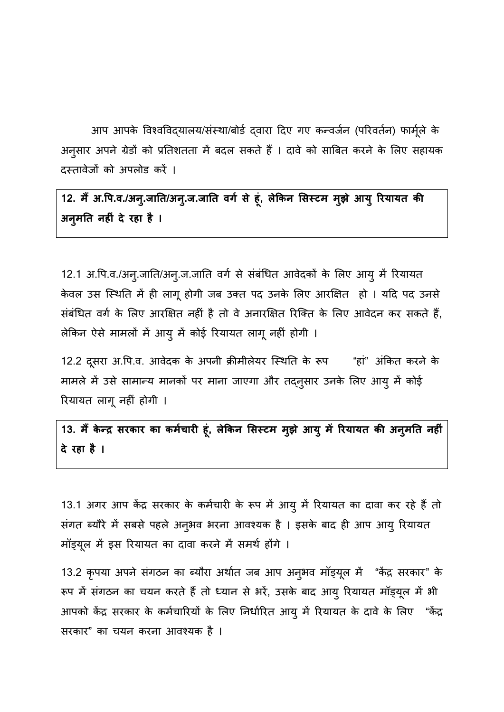आप आपके विश्वविद्यालय/संस्था/बोर्ड दवारा दिए गए कन्वर्जन (परिवर्तन) फार्मूले के अनुसार अपने ग्रेडों को प्रतिशतता में बदल सकते हैं । दावे को साबित करने के लिए सहायक दस्तावेजों को अपलोड करें ।

12. मैं अ.पि.व./अन्.जाति/अन्.ज.जाति वर्ग से हूं, लेकिन सिस्टम मुझे आयु रियायत की अनुमति नहीं दे रहा है ।

12.1 अ.पि.व./अन्.जाति/अन्.ज.जाति वर्ग से संबंधित आवेदकों के लिए आयू में रियायत केवल उस स्थिति में ही लागू होगी जब उक्त पद उनके लिए आरक्षित हो । यदि पद उनसे संबंधित वर्ग के लिए आरक्षित नहीं है तो वे अनारक्षित रिक्ति के लिए आवेदन कर सकते हैं, लेकिन ऐसे मामलों में आयु में कोई रियायत लागू नहीं होगी ।

12.2 दूसरा अ.पि.व. आवेदक के अपनी क्रीमीलेयर स्थिति के रूप "हां" अंकित करने के मामले में उसे सामान्य मानकों पर माना जाएगा और तद्नुसार उनके लिए आयु में कोई रियायत लागू नहीं होगी ।

13. मैं केन्द्र सरकार का कर्मचारी हूं, लेकिन सिस्टम मूझे आयु में रियायत की अनुमति नहीं दे रहा है ।

13.1 अगर आप केंद्र सरकार के कर्मचारी के रूप में आयु में रियायत का दावा कर रहे हैं तो संगत ब्यौरे में सबसे पहले अनुभव भरना आवश्यक है । इसके बाद ही आप आयु रियायत मॉड्यूल में इस रियायत का दावा करने में समर्थ होंगे ।

13.2 कृपया अपने संगठन का ब्यौरा अर्थात जब आप अन्अव मॉड्यूल में "केंद्र सरकार" के रूप में संगठन का चयन करते हैं तो ध्यान से भरें, उसके बाद आयू रियायत मॉड्यूल में भी आपको केंद्र सरकार के कर्मचारियों के लिए निर्धारित आयु में रियायत के दावे के लिए "केंद्र सरकार" का चयन करना आवश्यक है ।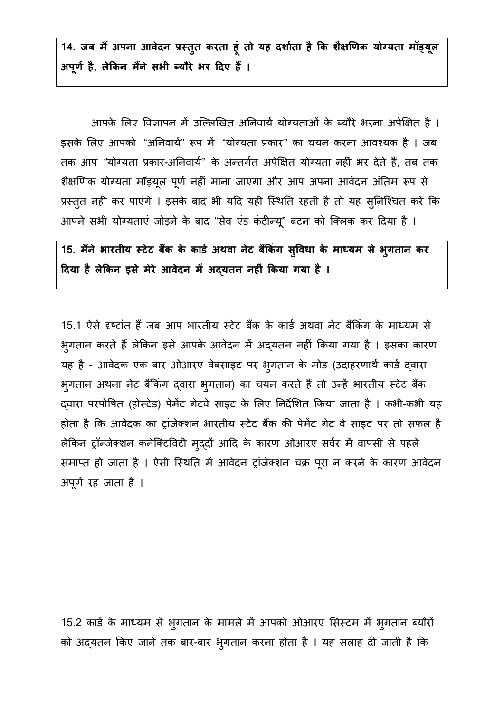14. जब मैं अपना आवेदन प्रस्तुत करता हूं तो यह दर्शाता है कि शैक्षणिक योग्यता मॉड्यूल अपूर्ण है, लेकिन मैंने सभी ब्यौरे भर दिए हैं ।

आपके लिए विज्ञापन में उल्लिखित अनिवार्य योग्यताओं के ब्यौरे भरना अपेक्षित है । इसके लिए आपको "अनिवार्य" रूप में "योग्यता प्रकार" का चयन करना आवश्यक है । जब तक आप "योग्यता प्रकार-अनिवार्य" के अन्तर्गत अपेक्षित योग्यता नहीं भर देते हैं, तब तक शैक्षणिक योग्यता मॉड्यूल पूर्ण नहीं माना जाएगा और आप अपना आवेदन अंतिम रूप से प्रस्तुत नहीं कर पाएंगे । इसके बाद भी यदि यही स्थिति रहती है तो यह सुनिश्चित करें कि आपने सभी योग्यताएं जोड़ने के बाद "सेव एंड कंटीन्यू" बटन को क्लिक कर दिया है ।

15. मैंने भारतीय स्टेट बैंक के कार्ड अथवा नेट बैंकिंग सुविधा के माध्यम से भुगतान कर दिया है लेकिन इसे मेरे आवेदन में अद्यतन नहीं किया गया है ।

15.1 ऐसे दृष्टांत हैं जब आप भारतीय स्टेट बैंक के कार्ड अथवा नेट बैंकिंग के माध्यम से भुगतान करते हैं लेकिन इसे आपके आवेदन में अद्यतन नहीं किया गया है । इसका कारण यह है - आवेदक एक बार ओआरए वेबसाइट पर भुगतान के मोड (उदाहरणार्थ कार्ड द्वारा भुगतान अथना नेट बैंकिंग द्वारा भुगतान) का चयन करते हैं तो उन्हें भारतीय स्टेट बैंक दवारा परपोषित (होस्टेड) पेमेंट गेटवे साइट के लिए निर्देशित किया जाता है । कभी-कभी यह होता है कि आवेदक का ट्रांजेक्शन भारतीय स्टेट बैंक की पेमेंट गेट वे साइट पर तो सफल है लेकिन ट्रॉन्जेक्शन कनेक्टिविटी मुद्दों आदि के कारण ओआरए सर्वर में वापसी से पहले समाप्त हो जाता है । ऐसी स्थिति में आवेदन ट्रांजेक्शन चक्र पूरा न करने के कारण आवेदन अपूर्ण रह जाता है ।

15.2 कार्ड के माध्यम से भुगतान के मामले में आपको ओआरए सिस्टम में भुगतान ब्यौरों को अद्यतन किए जाने तक बार-बार भुगतान करना होता है । यह सलाह दी जाती है कि